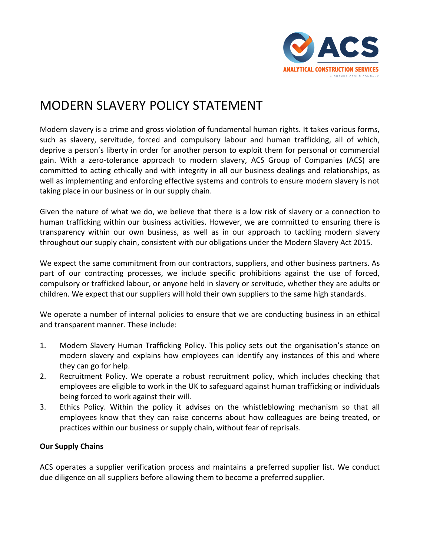## MODERN SLAVERY POLICY STATEMENT

Modern slavery is a crime and gross violation of fundamental human rights. It takes various forms, such as slavery, servitude, forced and compulsory labour and human trafficking, all of which, deprive a person's liberty in order for another person to exploit them for personal or commercial gain. With a zero-tolerance approach to modern slavery, ACS Group of Companies (ACS) are committed to acting ethically and with integrity in all our business dealings and relationships, as well as implementing and enforcing effective systems and controls to ensure modern slavery is not taking place in our business or in our supply chain.

Given the nature of what we do, we believe that there is a low risk of slavery or a connection to human trafficking within our business activities. However, we are committed to ensuring there is transparency within our own business, as well as in our approach to tackling modern slavery throughout our supply chain, consistent with our obligations under the Modern Slavery Act 2015.

We expect the same commitment from our contractors, suppliers, and other business partners. As part of our contracting processes, we include specific prohibitions against the use of forced, compulsory or trafficked labour, or anyone held in slavery or servitude, whether they are adults or children. We expect that our suppliers will hold their own suppliers to the same high standards.

We operate a number of internal policies to ensure that we are conducting business in an ethical and transparent manner. These include:

- 1. Modern Slavery Human Trafficking Policy. This policy sets out the organisation's stance on modern slavery and explains how employees can identify any instances of this and where they can go for help.
- 2. Recruitment Policy. We operate a robust recruitment policy, which includes checking that employees are eligible to work in the UK to safeguard against human trafficking or individuals being forced to work against their will.
- 3. Ethics Policy. Within the policy it advises on the whistleblowing mechanism so that all employees know that they can raise concerns about how colleagues are being treated, or practices within our business or supply chain, without fear of reprisals.

## **Our Supply Chains**

ACS operates a supplier verification process and maintains a preferred supplier list. We conduct due diligence on all suppliers before allowing them to become a preferred supplier.